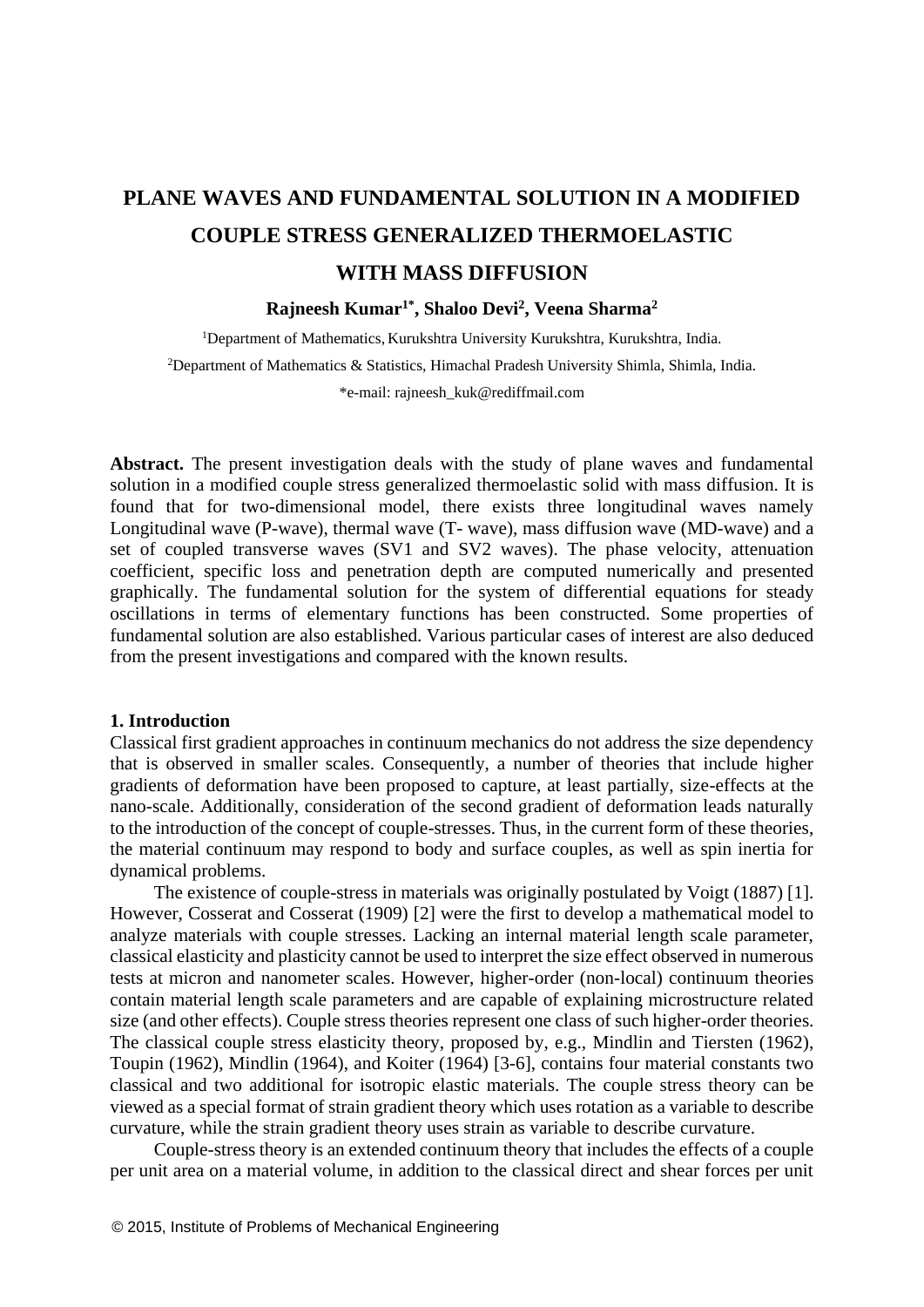# **PLANE WAVES AND FUNDAMENTAL SOLUTION IN A MODIFIED COUPLE STRESS GENERALIZED THERMOELASTIC WITH MASS DIFFUSION**

# **Rajneesh Kumar1\*, Shaloo Devi<sup>2</sup> , Veena Sharma<sup>2</sup>**

<sup>1</sup>Department of Mathematics, Kurukshtra University Kurukshtra, Kurukshtra, India. <sup>2</sup>Department of Mathematics & Statistics, Himachal Pradesh University Shimla, Shimla, India.

\*e-mail: [rajneesh\\_kuk@rediffmail.com](mailto:rajneesh_kuk@rediffmail.com)

**Abstract.** The present investigation deals with the study of plane waves and fundamental solution in a modified couple stress generalized thermoelastic solid with mass diffusion. It is found that for two-dimensional model, there exists three longitudinal waves namely Longitudinal wave (P-wave), thermal wave (T- wave), mass diffusion wave (MD-wave) and a set of coupled transverse waves (SV1 and SV2 waves). The phase velocity, attenuation coefficient, specific loss and penetration depth are computed numerically and presented graphically. The fundamental solution for the system of differential equations for steady oscillations in terms of elementary functions has been constructed. Some properties of fundamental solution are also established. Various particular cases of interest are also deduced from the present investigations and compared with the known results.

#### **1. Introduction**

Classical first gradient approaches in continuum mechanics do not address the size dependency that is observed in smaller scales. Consequently, a number of theories that include higher gradients of deformation have been proposed to capture, at least partially, size-effects at the nano-scale. Additionally, consideration of the second gradient of deformation leads naturally to the introduction of the concept of couple-stresses. Thus, in the current form of these theories, the material continuum may respond to body and surface couples, as well as spin inertia for dynamical problems.

The existence of couple-stress in materials was originally postulated by Voigt (1887) [1]. However, Cosserat and Cosserat (1909) [2] were the first to develop a mathematical model to analyze materials with couple stresses. Lacking an internal material length scale parameter, classical elasticity and plasticity cannot be used to interpret the size effect observed in numerous tests at micron and nanometer scales. However, higher-order (non-local) continuum theories contain material length scale parameters and are capable of explaining microstructure related size (and other effects). Couple stress theories represent one class of such higher-order theories. The classical couple stress elasticity theory, proposed by, e.g., Mindlin and Tiersten (1962), Toupin (1962), Mindlin (1964), and Koiter (1964) [3-6], contains four material constants two classical and two additional for isotropic elastic materials. The couple stress theory can be viewed as a special format of strain gradient theory which uses rotation as a variable to describe curvature, while the strain gradient theory uses strain as variable to describe curvature.

Couple-stress theory is an extended continuum theory that includes the effects of a couple per unit area on a material volume, in addition to the classical direct and shear forces per unit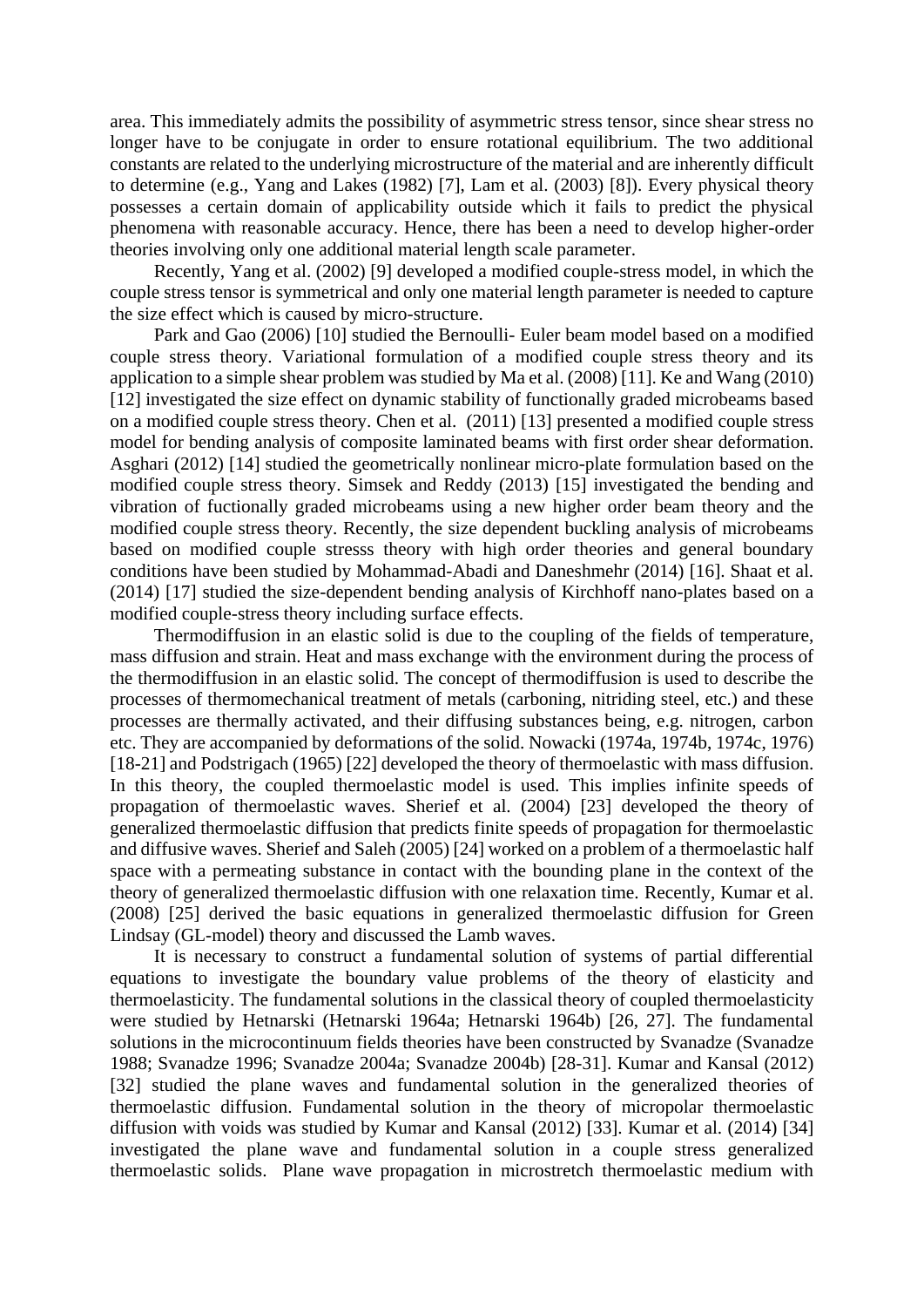area. This immediately admits the possibility of asymmetric stress tensor, since shear stress no longer have to be conjugate in order to ensure rotational equilibrium. The two additional constants are related to the underlying microstructure of the material and are inherently difficult to determine (e.g., Yang and Lakes (1982) [7], Lam et al. (2003) [8]). Every physical theory possesses a certain domain of applicability outside which it fails to predict the physical phenomena with reasonable accuracy. Hence, there has been a need to develop higher-order theories involving only one additional material length scale parameter.

Recently, Yang et al. (2002) [9] developed a modified couple-stress model, in which the couple stress tensor is symmetrical and only one material length parameter is needed to capture the size effect which is caused by micro-structure.

Park and Gao (2006) [10] studied the Bernoulli- Euler beam model based on a modified couple stress theory. Variational formulation of a modified couple stress theory and its application to a simple shear problem was studied by Ma et al. (2008) [11]. Ke and Wang (2010) [12] investigated the size effect on dynamic stability of functionally graded microbeams based on a modified couple stress theory. Chen et al. (2011) [13] presented a modified couple stress model for bending analysis of composite laminated beams with first order shear deformation. Asghari (2012) [14] studied the geometrically nonlinear micro-plate formulation based on the modified couple stress theory. Simsek and Reddy (2013) [15] investigated the bending and vibration of fuctionally graded microbeams using a new higher order beam theory and the modified couple stress theory. Recently, the size dependent buckling analysis of microbeams based on modified couple stresss theory with high order theories and general boundary conditions have been studied by Mohammad-Abadi and Daneshmehr (2014) [16]. Shaat et al. (2014) [17] studied the size-dependent bending analysis of Kirchhoff nano-plates based on a modified couple-stress theory including surface effects.

Thermodiffusion in an elastic solid is due to the coupling of the fields of temperature, mass diffusion and strain. Heat and mass exchange with the environment during the process of the thermodiffusion in an elastic solid. The concept of thermodiffusion is used to describe the processes of thermomechanical treatment of metals (carboning, nitriding steel, etc.) and these processes are thermally activated, and their diffusing substances being, e.g. nitrogen, carbon etc. They are accompanied by deformations of the solid. Nowacki (1974a, 1974b, 1974c, 1976) [18-21] and Podstrigach (1965) [22] developed the theory of thermoelastic with mass diffusion. In this theory, the coupled thermoelastic model is used. This implies infinite speeds of propagation of thermoelastic waves. Sherief et al. (2004) [23] developed the theory of generalized thermoelastic diffusion that predicts finite speeds of propagation for thermoelastic and diffusive waves. Sherief and Saleh (2005) [24] worked on a problem of a thermoelastic half space with a permeating substance in contact with the bounding plane in the context of the theory of generalized thermoelastic diffusion with one relaxation time. Recently, Kumar et al. (2008) [25] derived the basic equations in generalized thermoelastic diffusion for Green Lindsay (GL-model) theory and discussed the Lamb waves.

It is necessary to construct a fundamental solution of systems of partial differential equations to investigate the boundary value problems of the theory of elasticity and thermoelasticity. The fundamental solutions in the classical theory of coupled thermoelasticity were studied by Hetnarski (Hetnarski 1964a; Hetnarski 1964b) [26, 27]. The fundamental solutions in the microcontinuum fields theories have been constructed by Svanadze (Svanadze 1988; Svanadze 1996; Svanadze 2004a; Svanadze 2004b) [28-31]. Kumar and Kansal (2012) [32] studied the plane waves and fundamental solution in the generalized theories of thermoelastic diffusion. Fundamental solution in the theory of micropolar thermoelastic diffusion with voids was studied by Kumar and Kansal (2012) [33]. Kumar et al. (2014) [34] investigated the plane wave and fundamental solution in a couple stress generalized thermoelastic solids. Plane wave propagation in microstretch thermoelastic medium with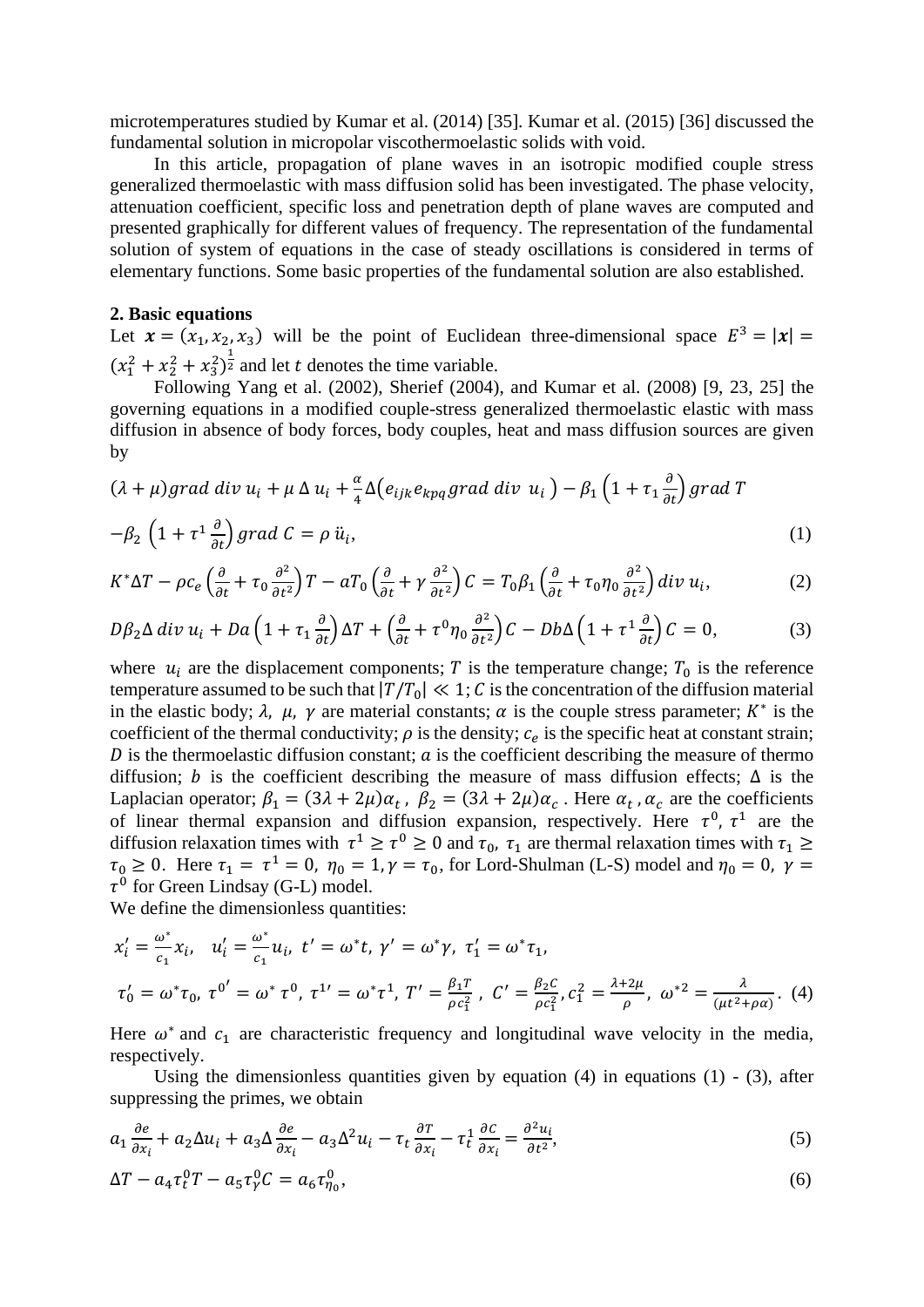microtemperatures studied by Kumar et al. (2014) [35]. Kumar et al. (2015) [36] discussed the fundamental solution in micropolar viscothermoelastic solids with void.

In this article, propagation of plane waves in an isotropic modified couple stress generalized thermoelastic with mass diffusion solid has been investigated. The phase velocity, attenuation coefficient, specific loss and penetration depth of plane waves are computed and presented graphically for different values of frequency. The representation of the fundamental solution of system of equations in the case of steady oscillations is considered in terms of elementary functions. Some basic properties of the fundamental solution are also established.

### **2. Basic equations**

Let  $\mathbf{x} = (x_1, x_2, x_3)$  will be the point of Euclidean three-dimensional space  $E^3 = |\mathbf{x}| =$  $(x_1^2 + x_2^2 + x_3^2)^{\frac{1}{2}}$  and let t denotes the time variable.

Following Yang et al. (2002), Sherief (2004), and Kumar et al. (2008) [9, 23, 25] the governing equations in a modified couple-stress generalized thermoelastic elastic with mass diffusion in absence of body forces, body couples, heat and mass diffusion sources are given by

$$
(\lambda + \mu) grad \ div u_i + \mu \ \Delta u_i + \frac{\alpha}{4} \Delta(e_{ijk}e_{kpq}grad \ div u_i) - \beta_1 \left(1 + \tau_1 \frac{\partial}{\partial t}\right) grad T
$$

$$
-\beta_2 \left(1 + \tau^1 \frac{\partial}{\partial t}\right) grad C = \rho \ u_i,
$$
\n(1)

$$
K^*\Delta T - \rho c_e \left(\frac{\partial}{\partial t} + \tau_0 \frac{\partial^2}{\partial t^2}\right) T - aT_0 \left(\frac{\partial}{\partial t} + \gamma \frac{\partial^2}{\partial t^2}\right) C = T_0 \beta_1 \left(\frac{\partial}{\partial t} + \tau_0 \eta_0 \frac{\partial^2}{\partial t^2}\right) div u_i,
$$
 (2)

$$
D\beta_2 \Delta \operatorname{div} u_i + D a \left( 1 + \tau_1 \frac{\partial}{\partial t} \right) \Delta T + \left( \frac{\partial}{\partial t} + \tau^0 \eta_0 \frac{\partial^2}{\partial t^2} \right) C - D b \Delta \left( 1 + \tau^1 \frac{\partial}{\partial t} \right) C = 0, \tag{3}
$$

where  $u_i$  are the displacement components; T is the temperature change;  $T_0$  is the reference temperature assumed to be such that  $|T/T_0| \ll 1$ ; C is the concentration of the diffusion material in the elastic body;  $\lambda$ ,  $\mu$ ,  $\gamma$  are material constants;  $\alpha$  is the couple stress parameter;  $K^*$  is the coefficient of the thermal conductivity;  $\rho$  is the density;  $c_e$  is the specific heat at constant strain;  $D$  is the thermoelastic diffusion constant;  $a$  is the coefficient describing the measure of thermo diffusion; b is the coefficient describing the measure of mass diffusion effects;  $\Delta$  is the Laplacian operator;  $\beta_1 = (3\lambda + 2\mu)\alpha_t$ ,  $\beta_2 = (3\lambda + 2\mu)\alpha_c$ . Here  $\alpha_t$ ,  $\alpha_c$  are the coefficients of linear thermal expansion and diffusion expansion, respectively. Here  $\tau^0$ ,  $\tau^1$  are the diffusion relaxation times with  $\tau^1 \ge \tau^0 \ge 0$  and  $\tau_0$ ,  $\tau_1$  are thermal relaxation times with  $\tau_1 \ge$  $\tau_0 \ge 0$ . Here  $\tau_1 = \tau^1 = 0$ ,  $\eta_0 = 1$ ,  $\gamma = \tau_0$ , for Lord-Shulman (L-S) model and  $\eta_0 = 0$ ,  $\gamma =$  $\tau^0$  for Green Lindsay (G-L) model.

We define the dimensionless quantities:

$$
x'_{i} = \frac{\omega^{*}}{c_{1}} x_{i}, \quad u'_{i} = \frac{\omega^{*}}{c_{1}} u_{i}, \quad t' = \omega^{*} t, \quad \gamma' = \omega^{*} \gamma, \quad \tau'_{1} = \omega^{*} \tau_{1},
$$
\n
$$
\tau'_{0} = \omega^{*} \tau_{0}, \quad \tau^{0'} = \omega^{*} \tau^{0}, \quad \tau^{1'} = \omega^{*} \tau^{1}, \quad T' = \frac{\beta_{1} T}{\rho c_{1}^{2}}, \quad C' = \frac{\beta_{2} C}{\rho c_{1}^{2}}, \quad C_{1}^{2} = \frac{\lambda + 2\mu}{\rho}, \quad \omega^{*2} = \frac{\lambda}{(\mu t^{2} + \rho \alpha)}. \tag{4}
$$

Here  $\omega^*$  and  $c_1$  are characteristic frequency and longitudinal wave velocity in the media, respectively.

Using the dimensionless quantities given by equation  $(4)$  in equations  $(1)$  -  $(3)$ , after suppressing the primes, we obtain

$$
a_1 \frac{\partial e}{\partial x_i} + a_2 \Delta u_i + a_3 \Delta \frac{\partial e}{\partial x_i} - a_3 \Delta^2 u_i - \tau_t \frac{\partial \tau}{\partial x_i} - \tau_t^1 \frac{\partial c}{\partial x_i} = \frac{\partial^2 u_i}{\partial t^2},
$$
\n<sup>(5)</sup>

$$
\Delta T - a_4 \tau_t^0 T - a_5 \tau_\gamma^0 C = a_6 \tau_{\eta_0}^0,\tag{6}
$$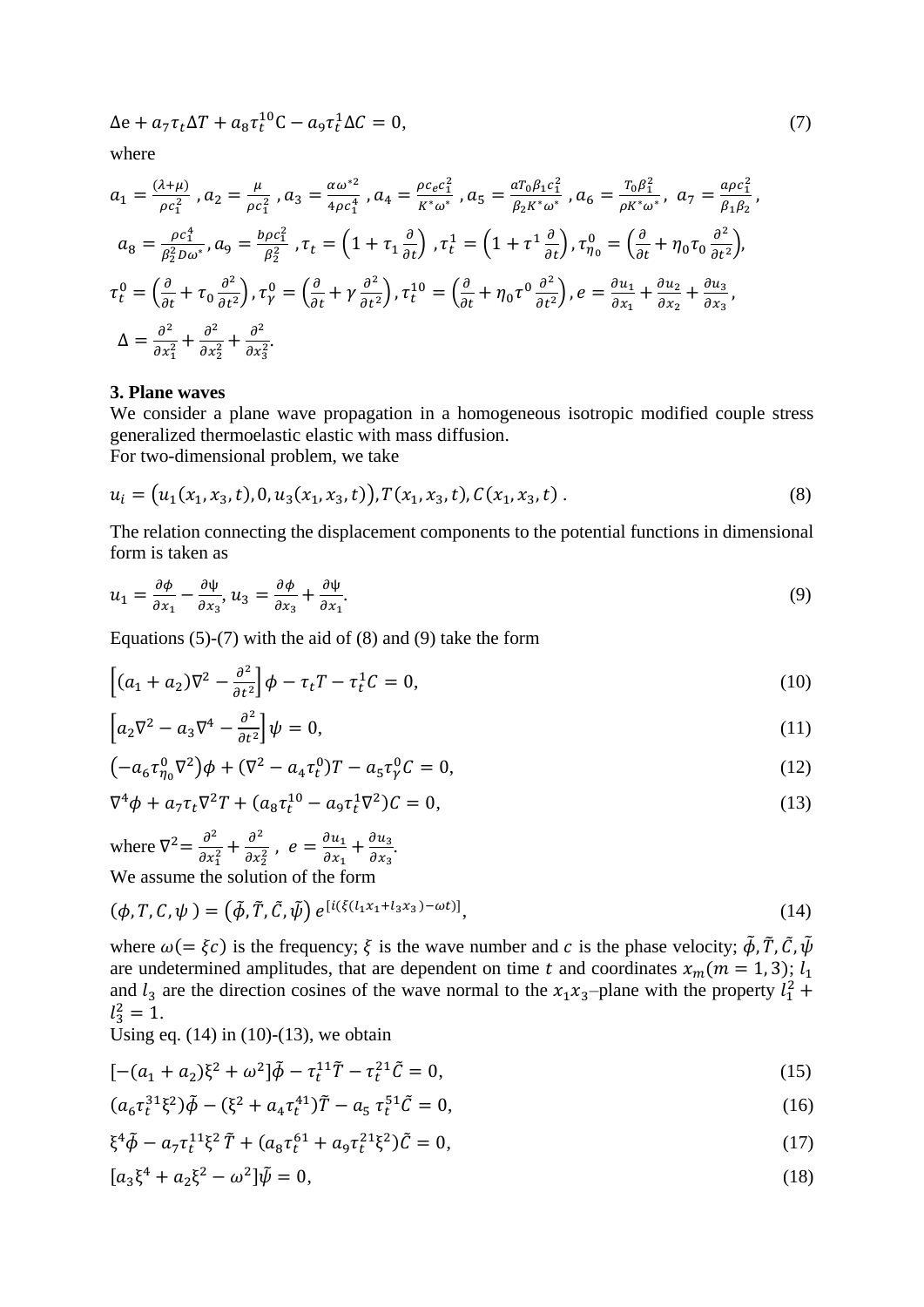$\Delta e + a_7 \tau_t \Delta T + a_8 \tau_t^{10} C - a_9 \tau_t^1 \Delta C = 0,$ (7)

where

$$
a_{1} = \frac{(\lambda + \mu)}{\rho c_{1}^{2}}, a_{2} = \frac{\mu}{\rho c_{1}^{2}}, a_{3} = \frac{\alpha \omega^{*2}}{4\rho c_{1}^{4}}, a_{4} = \frac{\rho c_{e} c_{1}^{2}}{K^{*} \omega^{*}}, a_{5} = \frac{a_{0} \beta_{1} c_{1}^{2}}{\beta_{2} K^{*} \omega^{*}}, a_{6} = \frac{T_{0} \beta_{1}^{2}}{\rho K^{*} \omega^{*}}, a_{7} = \frac{a_{0} c_{1}^{2}}{\beta_{1} \beta_{2}},
$$
  
\n
$$
a_{8} = \frac{\rho c_{1}^{4}}{\beta_{2}^{2} D \omega^{*}}, a_{9} = \frac{b_{0} c_{1}^{2}}{\beta_{2}^{2}}, \tau_{t} = \left(1 + \tau_{1} \frac{\partial}{\partial t}\right), \tau_{t}^{1} = \left(1 + \tau_{1}^{1} \frac{\partial}{\partial t}\right), \tau_{\eta_{0}}^{0} = \left(\frac{\partial}{\partial t} + \eta_{0} \tau_{0} \frac{\partial^{2}}{\partial t^{2}}\right),
$$
  
\n
$$
\tau_{t}^{0} = \left(\frac{\partial}{\partial t} + \tau_{0} \frac{\partial^{2}}{\partial t^{2}}\right), \tau_{\gamma}^{0} = \left(\frac{\partial}{\partial t} + \gamma \frac{\partial^{2}}{\partial t^{2}}\right), \tau_{t}^{10} = \left(\frac{\partial}{\partial t} + \eta_{0} \tau_{0} \frac{\partial^{2}}{\partial t^{2}}\right), e = \frac{\partial u_{1}}{\partial x_{1}} + \frac{\partial u_{2}}{\partial x_{2}} + \frac{\partial u_{3}}{\partial x_{3}},
$$
  
\n
$$
\Delta = \frac{\partial^{2}}{\partial x_{1}^{2}} + \frac{\partial^{2}}{\partial x_{2}^{2}} + \frac{\partial^{2}}{\partial x_{3}^{2}}.
$$

## **3. Plane waves**

We consider a plane wave propagation in a homogeneous isotropic modified couple stress generalized thermoelastic elastic with mass diffusion. For two-dimensional problem, we take

$$
u_i = (u_1(x_1, x_3, t), 0, u_3(x_1, x_3, t)), T(x_1, x_3, t), C(x_1, x_3, t).
$$
\n(8)

The relation connecting the displacement components to the potential functions in dimensional form is taken as

$$
u_1 = \frac{\partial \phi}{\partial x_1} - \frac{\partial \psi}{\partial x_3}, u_3 = \frac{\partial \phi}{\partial x_3} + \frac{\partial \psi}{\partial x_1}.
$$
\n(9)

Equations  $(5)-(7)$  with the aid of  $(8)$  and  $(9)$  take the form

$$
\left[ (a_1 + a_2) \nabla^2 - \frac{\partial^2}{\partial t^2} \right] \phi - \tau_t T - \tau_t^1 C = 0, \tag{10}
$$

$$
\left[a_2\nabla^2 - a_3\nabla^4 - \frac{\partial^2}{\partial t^2}\right]\psi = 0,\tag{11}
$$

$$
(-a_6 \tau_{\eta_0}^0 \nabla^2) \phi + (\nabla^2 - a_4 \tau_t^0) T - a_5 \tau_{\gamma}^0 C = 0, \qquad (12)
$$

$$
\nabla^4 \phi + a_7 \tau_t \nabla^2 T + (a_8 \tau_t^{10} - a_9 \tau_t^1 \nabla^2) C = 0,
$$
\n(13)

where  $\nabla^2 = \frac{\partial^2}{\partial x^2}$  $rac{\partial^2}{\partial x_1^2} + \frac{\partial^2}{\partial x_2^2}$  $\frac{\partial^2}{\partial x_2^2}$ ,  $e = \frac{\partial u_1}{\partial x_1}$  $\frac{\partial u_1}{\partial x_1} + \frac{\partial u_3}{\partial x_3}$  $\frac{\partial u_3}{\partial x_3}$ . We assume the solution of the form

$$
(\phi, T, C, \psi) = (\tilde{\phi}, \tilde{T}, \tilde{C}, \tilde{\psi}) e^{[i(\xi(l_1 x_1 + l_3 x_3) - \omega t)]}, \qquad (14)
$$

where  $\omega = \xi c$ ) is the frequency;  $\xi$  is the wave number and c is the phase velocity;  $\tilde{\phi}$ ,  $\tilde{T}$ ,  $\tilde{C}$ ,  $\tilde{\psi}$ are undetermined amplitudes, that are dependent on time t and coordinates  $x_m$  ( $m = 1, 3$ );  $l_1$ and  $l_3$  are the direction cosines of the wave normal to the  $x_1x_3$ –plane with the property  $l_1^2$  +  $l_3^2=1.$ 

Using eq.  $(14)$  in  $(10)-(13)$ , we obtain

$$
[-(a_1 + a_2)\xi^2 + \omega^2]\tilde{\phi} - \tau_t^{11}\tilde{T} - \tau_t^{21}\tilde{C} = 0,
$$
\n(15)

$$
(a_6\tau_t^{31}\xi^2)\tilde{\phi} - (\xi^2 + a_4\tau_t^{41})\tilde{T} - a_5\tau_t^{51}\tilde{C} = 0,
$$
\n(16)

$$
\xi^4 \tilde{\phi} - a_7 \tau_t^{11} \xi^2 \tilde{T} + (a_8 \tau_t^{61} + a_9 \tau_t^{21} \xi^2) \tilde{C} = 0,
$$
\n(17)

$$
[a_3\xi^4 + a_2\xi^2 - \omega^2]\tilde{\psi} = 0,
$$
\n(18)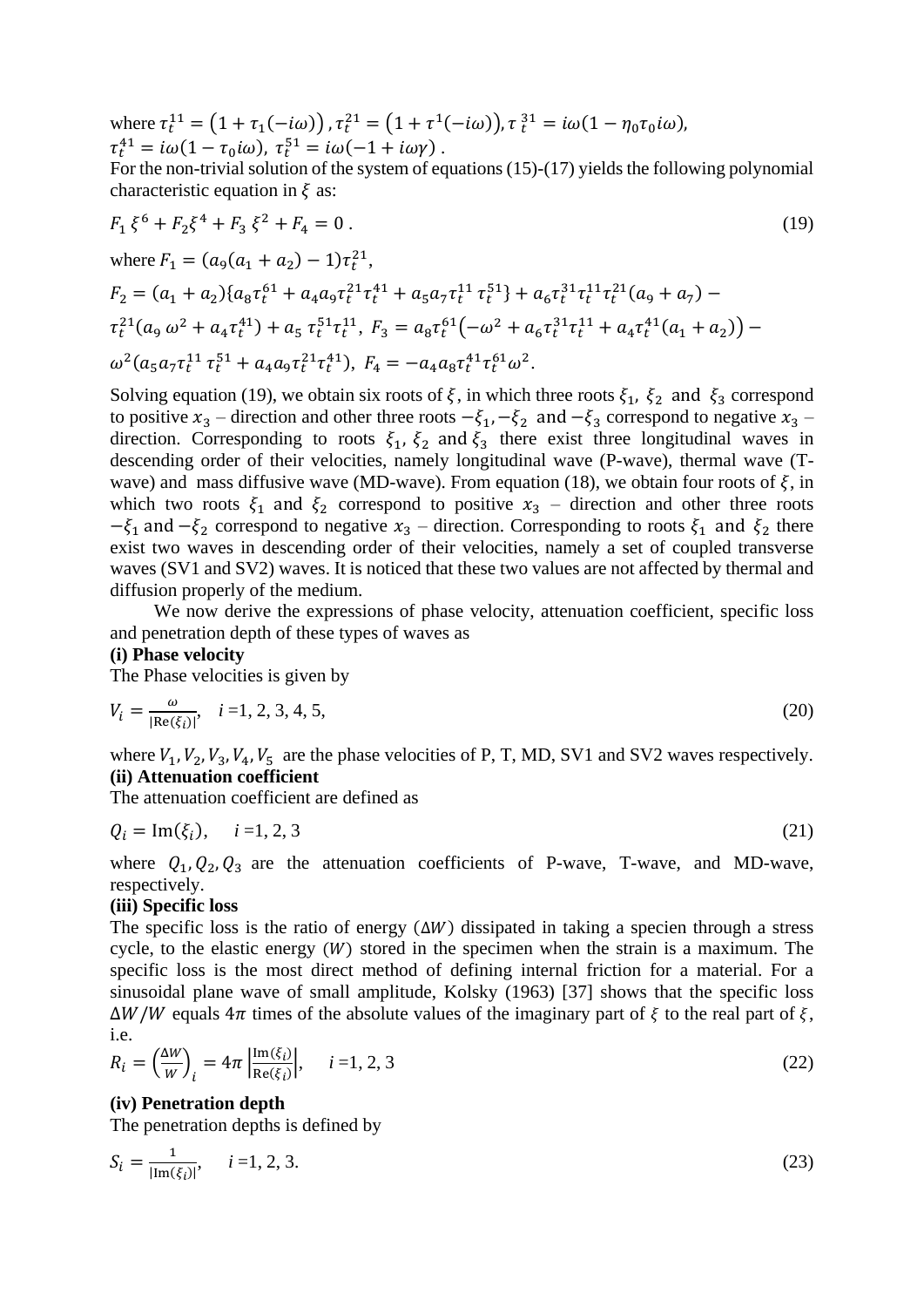where  $\tau_t^{11} = (1 + \tau_1(-i\omega))$ ,  $\tau_t^{21} = (1 + \tau^1(-i\omega))$ ,  $\tau_t^{31} = i\omega(1 - \eta_0\tau_0i\omega)$ ,  $\tau_t^{41} = i\omega(1 - \tau_0 i\omega), \tau_t^{51} = i\omega(-1 + i\omega\gamma)$ .

For the non-trivial solution of the system of equations (15)-(17) yields the following polynomial characteristic equation in  $\xi$  as:

$$
F_1 \xi^6 + F_2 \xi^4 + F_3 \xi^2 + F_4 = 0.
$$
\n(19)  
\nwhere  $F_1 = (a_9(a_1 + a_2) - 1)\tau_t^{21}$ ,  
\n
$$
F_2 = (a_1 + a_2)\{a_8\tau_t^{61} + a_4a_9\tau_t^{21}\tau_t^{41} + a_5a_7\tau_t^{11}\tau_t^{51}\} + a_6\tau_t^{31}\tau_t^{11}\tau_t^{21}(a_9 + a_7) - \tau_t^{21}(a_9 \omega^2 + a_4\tau_t^{41}) + a_5\tau_t^{51}\tau_t^{11}
$$
,  $F_3 = a_8\tau_t^{61}(-\omega^2 + a_6\tau_t^{31}\tau_t^{11} + a_4\tau_t^{41}(a_1 + a_2)) - \omega^2(a_5a_7\tau_t^{11}\tau_t^{51} + a_4a_9\tau_t^{21}\tau_t^{41})$ ,  $F_4 = -a_4a_8\tau_t^{41}\tau_t^{61}\omega^2$ .

Solving equation (19), we obtain six roots of  $\xi$ , in which three roots  $\xi_1$ ,  $\xi_2$  and  $\xi_3$  correspond to positive  $x_3$  – direction and other three roots  $-\xi_1, -\xi_2$  and  $-\xi_3$  correspond to negative  $x_3$  – direction. Corresponding to roots  $\xi_1$ ,  $\xi_2$  and  $\xi_3$  there exist three longitudinal waves in descending order of their velocities, namely longitudinal wave (P-wave), thermal wave (Twave) and mass diffusive wave (MD-wave). From equation (18), we obtain four roots of  $\xi$ , in which two roots  $\xi_1$  and  $\xi_2$  correspond to positive  $x_3$  – direction and other three roots  $-\xi_1$  and  $-\xi_2$  correspond to negative  $x_3$  – direction. Corresponding to roots  $\xi_1$  and  $\xi_2$  there exist two waves in descending order of their velocities, namely a set of coupled transverse waves (SV1 and SV2) waves. It is noticed that these two values are not affected by thermal and diffusion properly of the medium.

We now derive the expressions of phase velocity, attenuation coefficient, specific loss and penetration depth of these types of waves as

## **(i) Phase velocity**

The Phase velocities is given by

$$
V_i = \frac{\omega}{|\text{Re}(\xi_i)|}, \quad i = 1, 2, 3, 4, 5,
$$
\n(20)

where  $V_1$ ,  $V_2$ ,  $V_3$ ,  $V_4$ ,  $V_5$  are the phase velocities of P, T, MD, SV1 and SV2 waves respectively. **(ii) Attenuation coefficient**

The attenuation coefficient are defined as

$$
Q_i = \text{Im}(\xi_i), \quad i = 1, 2, 3 \tag{21}
$$

where  $Q_1$ ,  $Q_2$ ,  $Q_3$  are the attenuation coefficients of P-wave, T-wave, and MD-wave, respectively.

### **(iii) Specific loss**

The specific loss is the ratio of energy  $(\Delta W)$  dissipated in taking a specien through a stress cycle, to the elastic energy  $(W)$  stored in the specimen when the strain is a maximum. The specific loss is the most direct method of defining internal friction for a material. For a sinusoidal plane wave of small amplitude, Kolsky (1963) [37] shows that the specific loss  $\Delta W/W$  equals  $4\pi$  times of the absolute values of the imaginary part of  $\xi$  to the real part of  $\xi$ . i.e.

$$
R_i = \left(\frac{\Delta W}{W}\right)_i = 4\pi \left| \frac{\text{Im}(\xi_i)}{\text{Re}(\xi_i)} \right|, \quad i = 1, 2, 3 \tag{22}
$$

#### **(iv) Penetration depth**

The penetration depths is defined by

$$
S_i = \frac{1}{|\text{Im}(\xi_i)|}, \quad i = 1, 2, 3. \tag{23}
$$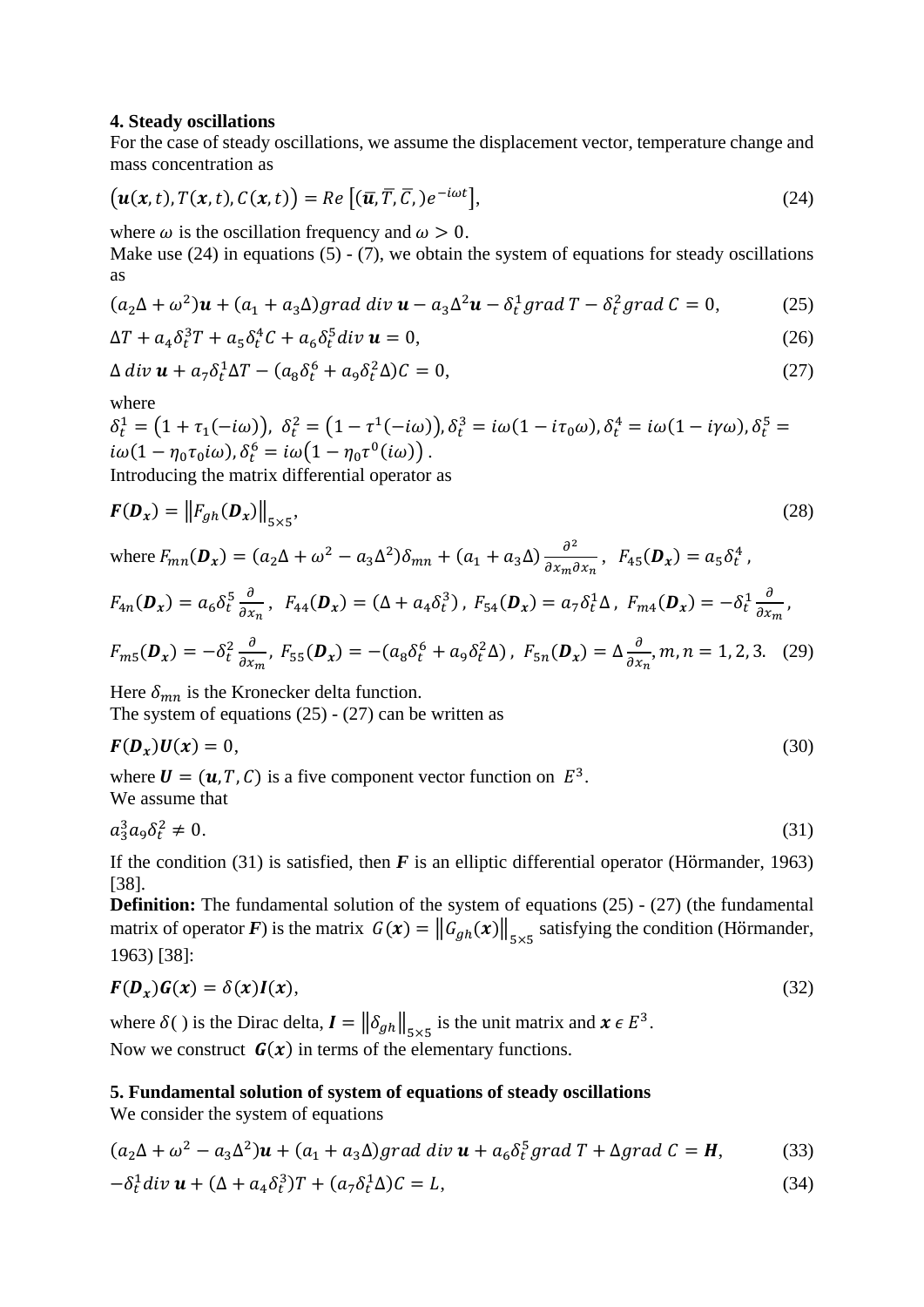## **4. Steady oscillations**

For the case of steady oscillations, we assume the displacement vector, temperature change and mass concentration as

$$
\big(\mathbf{u}(\mathbf{x},t),T(\mathbf{x},t),C(\mathbf{x},t)\big)=Re\big[(\overline{\mathbf{u}},\overline{T},\overline{C},e^{-i\omega t}\big],\tag{24}
$$

where  $\omega$  is the oscillation frequency and  $\omega > 0$ .

Make use  $(24)$  in equations  $(5)$  -  $(7)$ , we obtain the system of equations for steady oscillations as

$$
(a_2\Delta + \omega^2)\mathbf{u} + (a_1 + a_3\Delta)grad\ div\mathbf{u} - a_3\Delta^2\mathbf{u} - \delta_t^1 grad\ T - \delta_t^2 grad\ C = 0,
$$
 (25)

$$
\Delta T + a_4 \delta_t^3 T + a_5 \delta_t^4 C + a_6 \delta_t^5 \operatorname{div} \mathbf{u} = 0,\tag{26}
$$

$$
\Delta \operatorname{div} \mathbf{u} + a_7 \delta_t^1 \Delta T - (a_8 \delta_t^6 + a_9 \delta_t^2 \Delta) C = 0, \tag{27}
$$

where

 $\delta_t^1 = (1 + \tau_1(-i\omega))$ ,  $\delta_t^2 = (1 - \tau^1(-i\omega))$ ,  $\delta_t^3 = i\omega(1 - i\tau_0\omega)$ ,  $\delta_t^4 = i\omega(1 - i\gamma\omega)$ ,  $\delta_t^5 =$  $i\omega(1-\eta_0\tau_0 i\omega)$ ,  $\delta_t^6 = i\omega\big(1-\eta_0\tau^0(i\omega)\big)$ .

Introducing the matrix differential operator as

$$
\boldsymbol{F}(\boldsymbol{D}_{\boldsymbol{x}}) = \left\| F_{gh}(\boldsymbol{D}_{\boldsymbol{x}}) \right\|_{5 \times 5},\tag{28}
$$

where  $F_{mn}(\mathbf{D}_x) = (a_2\Delta + \omega^2 - a_3\Delta^2)\delta_{mn} + (a_1 + a_3\Delta)\frac{\partial^2}{\partial x_1 \partial x_2}$  $\frac{\partial^2}{\partial x_m \partial x_n}$ ,  $F_{45}(\mathbf{D}_x) = a_5 \delta_t^4$ ,

$$
F_{4n}(\mathbf{D}_x) = a_6 \delta_t^5 \frac{\partial}{\partial x_n}, \quad F_{44}(\mathbf{D}_x) = (\Delta + a_4 \delta_t^3), \quad F_{54}(\mathbf{D}_x) = a_7 \delta_t^1 \Delta, \quad F_{m4}(\mathbf{D}_x) = -\delta_t^1 \frac{\partial}{\partial x_m},
$$
\n
$$
F_{m4}(\mathbf{D}_x) = -\delta_t^2 \frac{\partial}{\partial x_m}, \quad F_{m4}(\mathbf{D}_x) = -\left(a_6 \delta_t^6 + a_7 \delta_t^2 \Delta\right), \quad F_{m4}(\mathbf{D}_x) = \Delta_t^3 \frac{\partial}{\partial x_m}, \quad F_{m4}(\mathbf{D}_x) = -\delta_t^2 \frac{\partial}{\partial x_m}, \quad F_{m4}(\mathbf{D}_x) = -\delta_t^3 \frac{\partial}{\partial x_m}, \quad F_{m4}(\mathbf{D}_x) = -\delta_t^4 \frac{\partial}{\partial x_m}, \quad F_{m4}(\mathbf{D}_x) = -\delta_t^4 \frac{\partial}{\partial x_m}, \quad F_{m4}(\mathbf{D}_x) = -\delta_t^4 \frac{\partial}{\partial x_m}, \quad F_{m4}(\mathbf{D}_x) = -\delta_t^4 \frac{\partial}{\partial x_m}, \quad F_{m4}(\mathbf{D}_x) = -\delta_t^4 \frac{\partial}{\partial x_m}, \quad F_{m4}(\mathbf{D}_x) = -\delta_t^4 \frac{\partial}{\partial x_m}, \quad F_{m4}(\mathbf{D}_x) = -\delta_t^4 \frac{\partial}{\partial x_m}, \quad F_{m4}(\mathbf{D}_x) = -\delta_t^4 \frac{\partial}{\partial x_m}, \quad F_{m4}(\mathbf{D}_x) = -\delta_t^4 \frac{\partial}{\partial x_m}, \quad F_{m4}(\mathbf{D}_x) = -\delta_t^4 \frac{\partial}{\partial x_m}, \quad F_{m4}(\mathbf{D}_x) = -\delta_t^4 \frac{\partial}{\partial x_m}, \quad F_{m4}(\mathbf{D}_x) = -\delta_t^4 \frac{\partial}{\partial x_m}, \quad F_{m4}(\mathbf{D}_x) = -\delta_t^4 \frac{\partial}{\partial x_m}, \quad F_{m4}(\mathbf{D}_x) = -\delta_t^4 \frac{\partial}{\partial x_m}, \quad F_{m4}(\mathbf{D}_x) =
$$

$$
F_{m5}(\mathbf{D}_x) = -\delta_t^2 \frac{\partial}{\partial x_m}, \ F_{55}(\mathbf{D}_x) = -(a_8 \delta_t^6 + a_9 \delta_t^2 \Delta), \ F_{5n}(\mathbf{D}_x) = \Delta \frac{\partial}{\partial x_n}, m, n = 1, 2, 3. \tag{29}
$$

Here  $\delta_{mn}$  is the Kronecker delta function.

The system of equations  $(25) - (27)$  can be written as

$$
F(D_x)U(x) = 0,\t\t(30)
$$

where  $\mathbf{U} = (\mathbf{u}, T, C)$  is a five component vector function on  $E^3$ . We assume that

$$
a_3^3 a_9 \delta_t^2 \neq 0. \tag{31}
$$

If the condition (31) is satisfied, then  $\vec{F}$  is an elliptic differential operator (Hörmander, 1963) [38].

**Definition:** The fundamental solution of the system of equations (25) - (27) (the fundamental matrix of operator *F*) is the matrix  $G(x) = ||G_{gh}(x)||_{5\times 5}$  satisfying the condition (Hörmander, 1963) [38]:

$$
F(D_x)G(x) = \delta(x)I(x),\tag{32}
$$

where  $\delta()$  is the Dirac delta,  $I = ||\delta_{gh}||_{5\times 5}$  is the unit matrix and  $x \in E^3$ . Now we construct  $G(x)$  in terms of the elementary functions.

# **5. Fundamental solution of system of equations of steady oscillations**

We consider the system of equations

$$
(a_2\Delta + \omega^2 - a_3\Delta^2)\mathbf{u} + (a_1 + a_3\Delta)grad\ div\mathbf{u} + a_6\delta_t^5 grad\ T + \Delta grad\ C = \mathbf{H},\tag{33}
$$

$$
-\delta_t^1 \operatorname{div} \boldsymbol{u} + (\Delta + a_4 \delta_t^3) T + (a_7 \delta_t^1 \Delta) C = L,\tag{34}
$$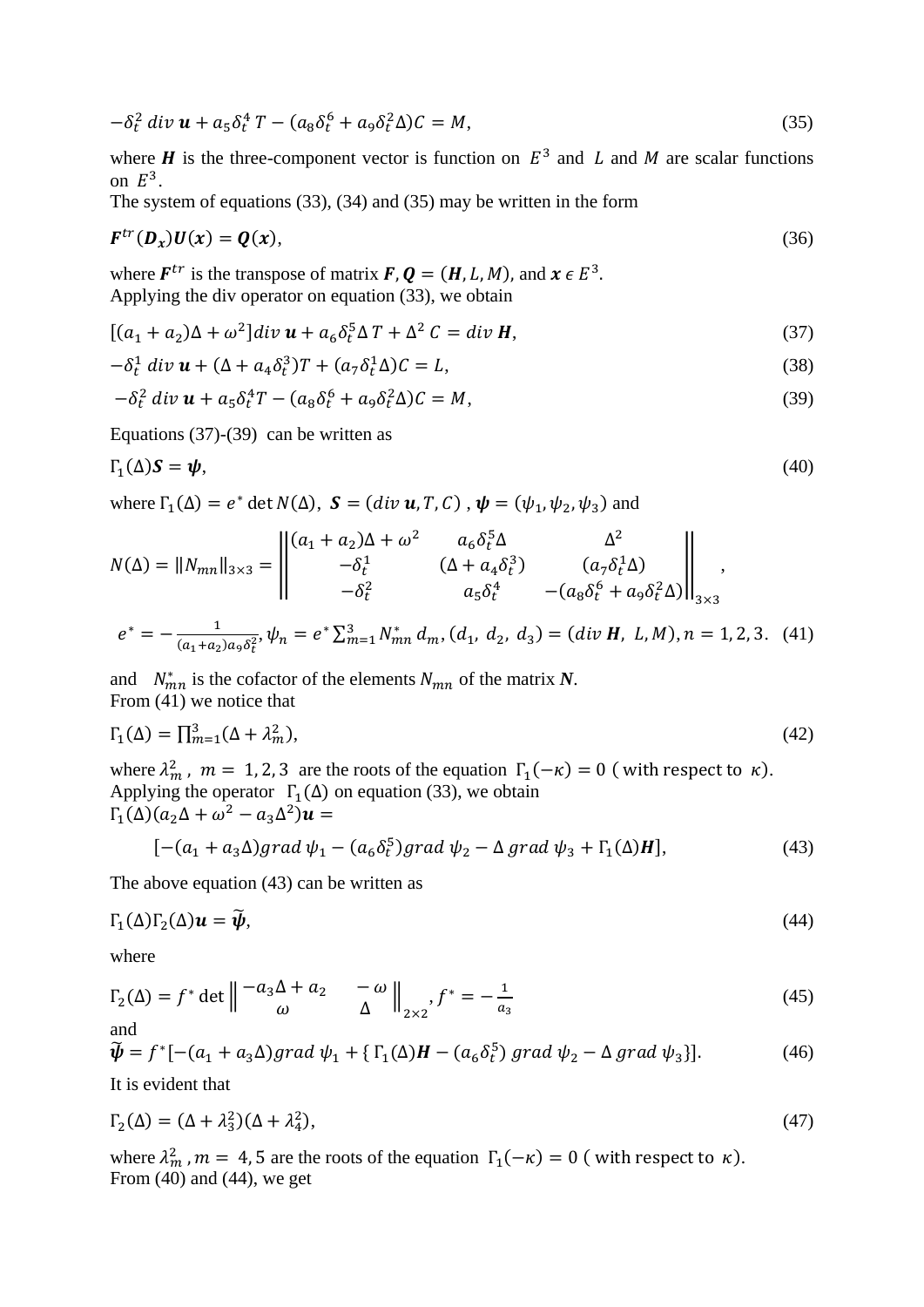$$
-\delta_t^2 \ div \mathbf{u} + a_5 \delta_t^4 T - (a_8 \delta_t^6 + a_9 \delta_t^2 \Delta) C = M,
$$
\n(35)

where **H** is the three-component vector is function on  $E^3$  and L and M are scalar functions on  $E^3$ .

The system of equations (33), (34) and (35) may be written in the form

$$
F^{tr}(\mathbf{D}_x)U(x) = \mathbf{Q}(x),\tag{36}
$$

where  $F^{tr}$  is the transpose of matrix  $F, Q = (H, L, M)$ , and  $x \in E^3$ . Applying the div operator on equation (33), we obtain

$$
[(a_1 + a_2)\Delta + \omega^2]div \mathbf{u} + a_6 \delta_t^5 \Delta T + \Delta^2 C = div \mathbf{H},
$$
\n(37)

$$
-\delta_t^1 \operatorname{div} \mathbf{u} + (\Delta + a_4 \delta_t^3) T + (a_7 \delta_t^1 \Delta) C = L,\tag{38}
$$

$$
-\delta_t^2 \ div \mathbf{u} + a_5 \delta_t^4 T - (a_8 \delta_t^6 + a_9 \delta_t^2 \Delta) C = M,
$$
\n(39)

Equations (37)-(39) can be written as

$$
\Gamma_1(\Delta)S = \psi,\tag{40}
$$

where  $\Gamma_1(\Delta) = e^* \det N(\Delta)$ ,  $\mathbf{S} = (div \mathbf{u}, T, C)$ ,  $\mathbf{\psi} = (\psi_1, \psi_2, \psi_3)$  and

$$
N(\Delta) = ||N_{mn}||_{3\times3} = \left\| \begin{pmatrix} (a_1 + a_2)\Delta + \omega^2 & a_6 \delta_t^5 \Delta & \Delta^2 \\ -\delta_t^1 & (\Delta + a_4 \delta_t^3) & (a_7 \delta_t^4 \Delta) \\ -\delta_t^2 & a_5 \delta_t^4 & -(a_8 \delta_t^6 + a_9 \delta_t^2 \Delta) \end{pmatrix} \right\|_{3\times3},
$$

$$
e^* = -\frac{1}{(a_1 + a_2)a_9 \delta_t^2}, \psi_n = e^* \sum_{m=1}^3 N_{mn}^* d_m, (d_1, d_2, d_3) = (div \mathbf{H}, L, M), n = 1, 2, 3. (41)
$$

and  $N_{mn}^*$  is the cofactor of the elements  $N_{mn}$  of the matrix N. From (41) we notice that

$$
\Gamma_1(\Delta) = \prod_{m=1}^3 (\Delta + \lambda_m^2),\tag{42}
$$

where  $\lambda_m^2$ ,  $m = 1, 2, 3$  are the roots of the equation  $\Gamma_1(-\kappa) = 0$  (with respect to  $\kappa$ ). Applying the operator  $\Gamma_1(\Delta)$  on equation (33), we obtain  $\Gamma_1(\Delta)(a_2\Delta+\omega^2-a_3\Delta^2)\mathbf{u}=$ 

$$
[-(a_1 + a_3 \Delta)grad \psi_1 - (a_6 \delta_t^5) grad \psi_2 - \Delta grad \psi_3 + \Gamma_1(\Delta)H],
$$
\n(43)

The above equation (43) can be written as

$$
\Gamma_1(\Delta)\Gamma_2(\Delta)\mathbf{u} = \widetilde{\boldsymbol{\psi}},\tag{44}
$$

where

$$
\Gamma_2(\Delta) = f^* \det \left\| \begin{matrix} -a_3 \Delta + a_2 & -\omega \\ \omega & \Delta \end{matrix} \right\|_{2 \times 2}, f^* = -\frac{1}{a_3} \tag{45}
$$

$$
\widetilde{\boldsymbol{\psi}} = f^*[-(a_1 + a_3 \Delta)grad \psi_1 + \{\Gamma_1(\Delta)\boldsymbol{H} - (a_6 \delta_t^5) grad \psi_2 - \Delta grad \psi_3\}].
$$
\n(46)

It is evident that

$$
\Gamma_2(\Delta) = (\Delta + \lambda_3^2)(\Delta + \lambda_4^2),\tag{47}
$$

where  $\lambda_m^2$ ,  $m = 4, 5$  are the roots of the equation  $\Gamma_1(-\kappa) = 0$  (with respect to  $\kappa$ ). From (40) and (44), we get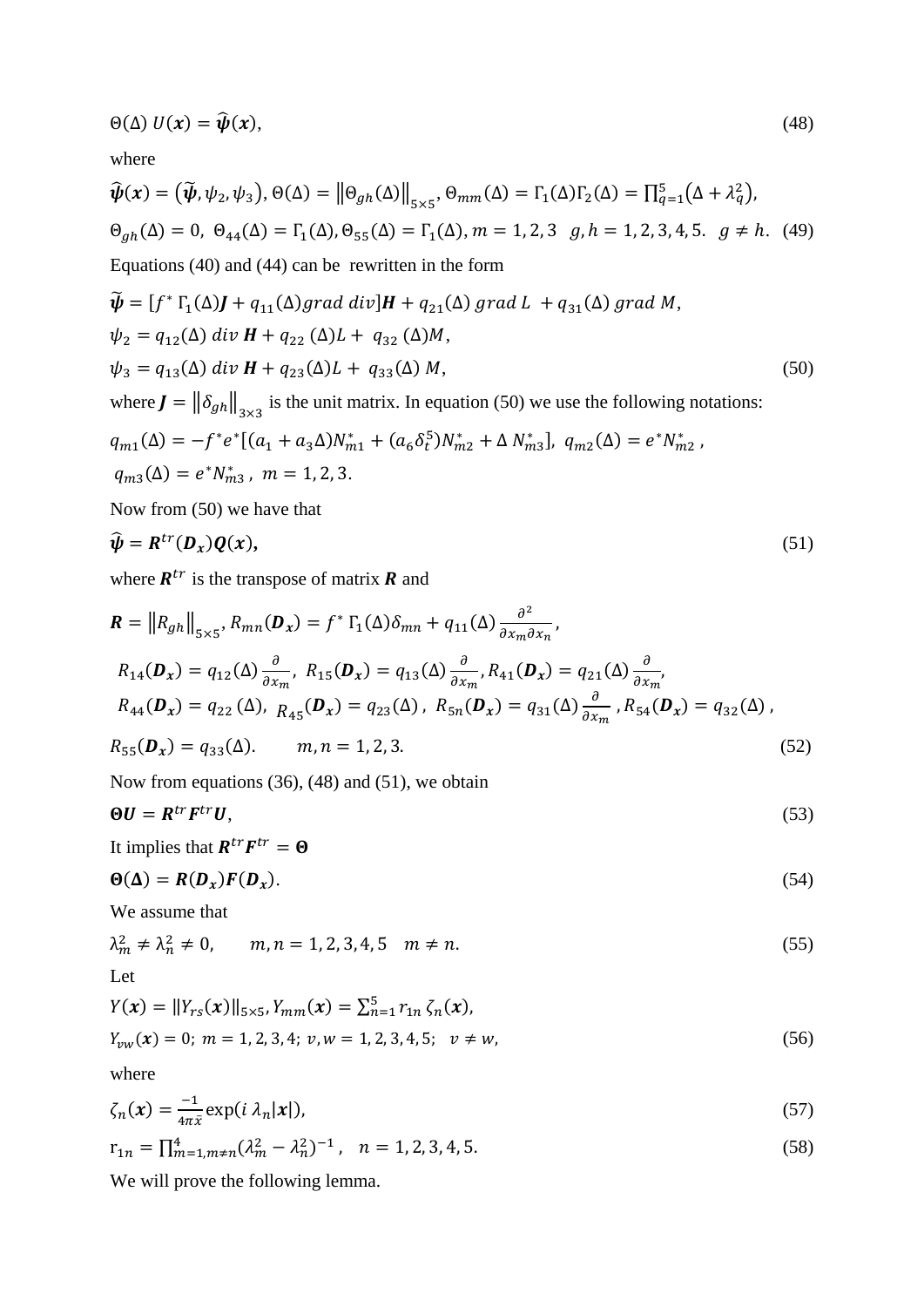$$
\Theta(\Delta) U(x) = \widehat{\psi}(x),\tag{48}
$$

where

$$
\widehat{\boldsymbol{\psi}}(\mathbf{x}) = (\widetilde{\boldsymbol{\psi}}, \psi_2, \psi_3), \Theta(\Delta) = ||\Theta_{gh}(\Delta)||_{5 \times 5}, \Theta_{mm}(\Delta) = \Gamma_1(\Delta)\Gamma_2(\Delta) = \prod_{q=1}^5 (\Delta + \lambda_q^2),
$$
  

$$
\Theta_{gh}(\Delta) = 0, \ \Theta_{44}(\Delta) = \Gamma_1(\Delta), \Theta_{55}(\Delta) = \Gamma_1(\Delta), m = 1, 2, 3, g, h = 1, 2, 3, 4, 5, g \neq h. \tag{49}
$$
  
Equations (40) and (44) can be rewritten in the form  

$$
\widetilde{\boldsymbol{\psi}} = [f^* \Gamma(\Delta) \mathbf{1} + g_1(\Delta) \operatorname{grad} \operatorname{div} \mathbf{U}] \mathbf{1} + g_2(\Delta) \operatorname{grad} \mathbf{I} + g_3(\Delta) \operatorname{grad} \mathbf{M}
$$

$$
\widetilde{\Psi} = [f^* \Gamma_1(\Delta) \mathbf{J} + q_{11}(\Delta) \text{grad div}]\mathbf{H} + q_{21}(\Delta) \text{ grad } L + q_{31}(\Delta) \text{ grad } M,
$$
  
\n
$$
\psi_2 = q_{12}(\Delta) \text{ div } \mathbf{H} + q_{22}(\Delta) L + q_{32}(\Delta) M,
$$
  
\n
$$
\psi_3 = q_{13}(\Delta) \text{ div } \mathbf{H} + q_{23}(\Delta) L + q_{33}(\Delta) M,
$$
  
\nwhere  $\mathbf{J} = ||\delta_{gh}||_{3 \times 3}$  is the unit matrix. In equation (50) we use the following notations:  
\n
$$
q_{m1}(\Delta) = -f^* e^* [(a_1 + a_3 \Delta) N_{m1}^* + (a_6 \delta_t^5) N_{m2}^* + \Delta N_{m3}^*], q_{m2}(\Delta) = e^* N_{m2}^*,
$$
  
\n
$$
q_{m3}(\Delta) = e^* N_{m3}^*, m = 1, 2, 3.
$$
\n(50)

Now from (50) we have that

$$
\widehat{\psi} = R^{tr}(D_x)Q(x),\tag{51}
$$

where  $R^{tr}$  is the transpose of matrix **R** and

$$
\mathbf{R} = \|R_{gh}\|_{5\times 5}, R_{mn}(\mathbf{D}_x) = f^* \Gamma_1(\Delta) \delta_{mn} + q_{11}(\Delta) \frac{\partial^2}{\partial x_m \partial x_n},
$$
  
\n
$$
R_{14}(\mathbf{D}_x) = q_{12}(\Delta) \frac{\partial}{\partial x_m}, R_{15}(\mathbf{D}_x) = q_{13}(\Delta) \frac{\partial}{\partial x_m}, R_{41}(\mathbf{D}_x) = q_{21}(\Delta) \frac{\partial}{\partial x_m},
$$
  
\n
$$
R_{44}(\mathbf{D}_x) = q_{22}(\Delta), R_{45}(\mathbf{D}_x) = q_{23}(\Delta), R_{5n}(\mathbf{D}_x) = q_{31}(\Delta) \frac{\partial}{\partial x_m}, R_{54}(\mathbf{D}_x) = q_{32}(\Delta),
$$
  
\n
$$
R_{55}(\mathbf{D}_x) = q_{33}(\Delta). \qquad m, n = 1, 2, 3.
$$
  
\n(52)

Now from equations (36), (48) and (51), we obtain

$$
\Theta \mathbf{U} = \mathbf{R}^{tr} \mathbf{F}^{tr} \mathbf{U},\tag{53}
$$

It implies that  $R^{tr}F^{tr} = \Theta$ 

$$
\Theta(\Delta) = R(D_x)F(D_x). \tag{54}
$$

We assume that

$$
\lambda_m^2 \neq \lambda_n^2 \neq 0, \qquad m, n = 1, 2, 3, 4, 5 \quad m \neq n. \tag{55}
$$

Let

$$
Y(\mathbf{x}) = ||Y_{rs}(\mathbf{x})||_{5 \times 5}, Y_{mm}(\mathbf{x}) = \sum_{n=1}^{5} r_{1n} \zeta_n(\mathbf{x}),
$$
  
\n
$$
Y_{vw}(\mathbf{x}) = 0; \ m = 1, 2, 3, 4; \ v, w = 1, 2, 3, 4, 5; \ v \neq w,
$$
\n(56)

where

$$
\zeta_n(x) = \frac{-1}{4\pi \bar{x}} \exp(i \lambda_n |x|),\tag{57}
$$

$$
r_{1n} = \prod_{m=1, m \neq n}^{4} (\lambda_m^2 - \lambda_n^2)^{-1}, \quad n = 1, 2, 3, 4, 5. \tag{58}
$$

We will prove the following lemma.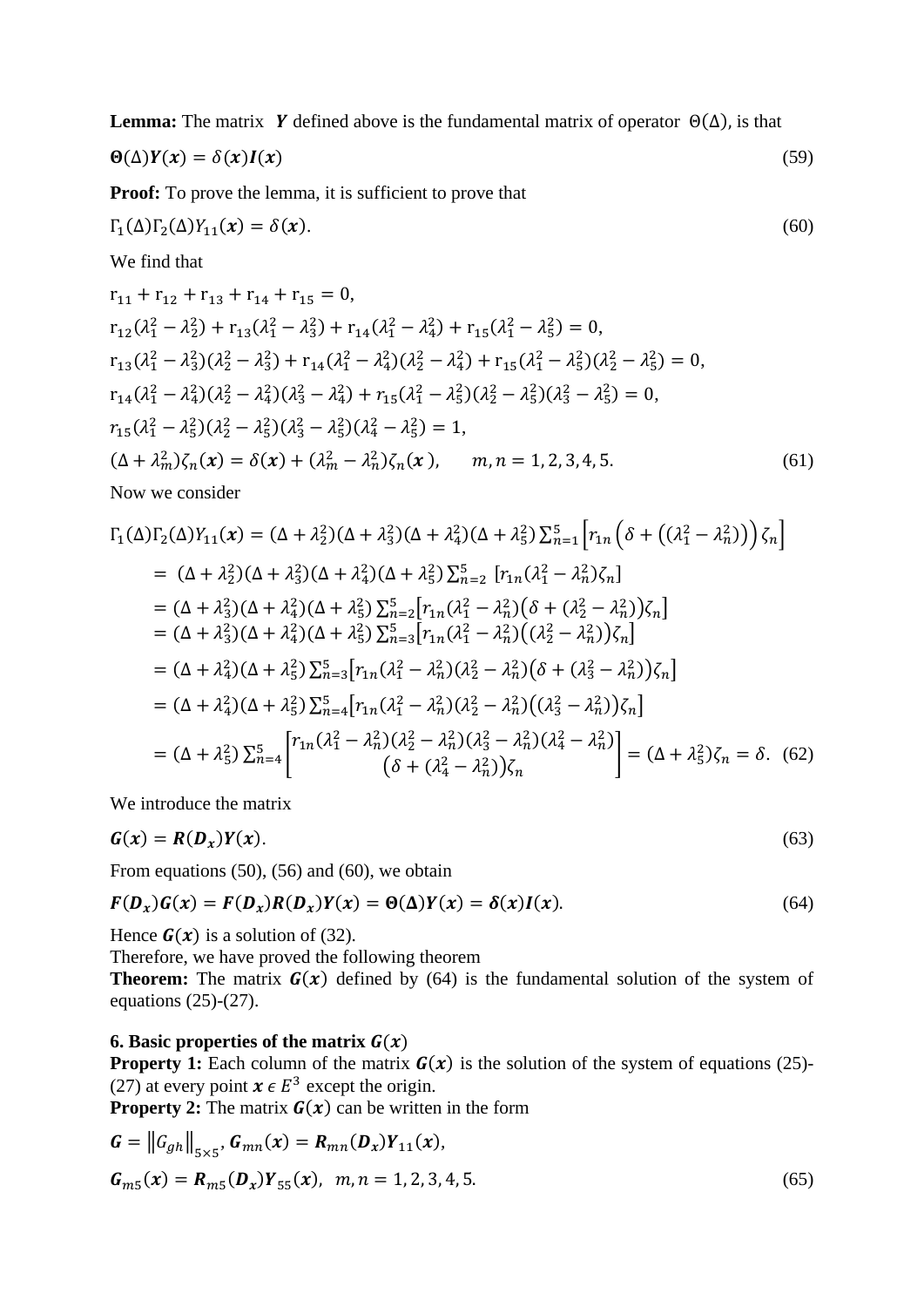**Lemma:** The matrix **Y** defined above is the fundamental matrix of operator  $\Theta(\Delta)$ , is that

$$
\Theta(\Delta)Y(x) = \delta(x)I(x) \tag{59}
$$

**Proof:** To prove the lemma, it is sufficient to prove that

$$
\Gamma_1(\Delta)\Gamma_2(\Delta)Y_{11}(x) = \delta(x). \tag{60}
$$

We find that

$$
r_{11} + r_{12} + r_{13} + r_{14} + r_{15} = 0,
$$
  
\n
$$
r_{12}(\lambda_{1}^{2} - \lambda_{2}^{2}) + r_{13}(\lambda_{1}^{2} - \lambda_{3}^{2}) + r_{14}(\lambda_{1}^{2} - \lambda_{4}^{2}) + r_{15}(\lambda_{1}^{2} - \lambda_{5}^{2}) = 0,
$$
  
\n
$$
r_{13}(\lambda_{1}^{2} - \lambda_{3}^{2})(\lambda_{2}^{2} - \lambda_{3}^{2}) + r_{14}(\lambda_{1}^{2} - \lambda_{4}^{2})(\lambda_{2}^{2} - \lambda_{4}^{2}) + r_{15}(\lambda_{1}^{2} - \lambda_{5}^{2})(\lambda_{2}^{2} - \lambda_{5}^{2}) = 0,
$$
  
\n
$$
r_{14}(\lambda_{1}^{2} - \lambda_{4}^{2})(\lambda_{2}^{2} - \lambda_{4}^{2})(\lambda_{3}^{2} - \lambda_{4}^{2}) + r_{15}(\lambda_{1}^{2} - \lambda_{5}^{2})(\lambda_{2}^{2} - \lambda_{5}^{2})(\lambda_{3}^{2} - \lambda_{5}^{2}) = 0,
$$
  
\n
$$
r_{15}(\lambda_{1}^{2} - \lambda_{5}^{2})(\lambda_{2}^{2} - \lambda_{5}^{2})(\lambda_{3}^{2} - \lambda_{5}^{2})(\lambda_{4}^{2} - \lambda_{5}^{2}) = 1,
$$
  
\n
$$
(\Delta + \lambda_{m}^{2})\zeta_{n}(x) = \delta(x) + (\lambda_{m}^{2} - \lambda_{n}^{2})\zeta_{n}(x), \quad m, n = 1, 2, 3, 4, 5.
$$
  
\nNow we consider

$$
\Gamma_{1}(\Delta)\Gamma_{2}(\Delta)Y_{11}(x) = (\Delta + \lambda_{2}^{2})(\Delta + \lambda_{3}^{2})(\Delta + \lambda_{4}^{2})(\Delta + \lambda_{5}^{2})\sum_{n=1}^{5} \left[r_{1n}\left(\delta + \left((\lambda_{1}^{2} - \lambda_{n}^{2})\right)\right)\zeta_{n}\right]
$$
\n
$$
= (\Delta + \lambda_{2}^{2})(\Delta + \lambda_{3}^{2})(\Delta + \lambda_{4}^{2})(\Delta + \lambda_{5}^{2})\sum_{n=2}^{5} \left[r_{1n}(\lambda_{1}^{2} - \lambda_{n}^{2})\zeta_{n}\right]
$$
\n
$$
= (\Delta + \lambda_{3}^{2})(\Delta + \lambda_{4}^{2})(\Delta + \lambda_{5}^{2})\sum_{n=2}^{5} \left[r_{1n}(\lambda_{1}^{2} - \lambda_{n}^{2})(\delta + (\lambda_{2}^{2} - \lambda_{n}^{2}))\zeta_{n}\right]
$$
\n
$$
= (\Delta + \lambda_{3}^{2})(\Delta + \lambda_{4}^{2})(\Delta + \lambda_{5}^{2})\sum_{n=3}^{5} \left[r_{1n}(\lambda_{1}^{2} - \lambda_{n}^{2})(\lambda_{2}^{2} - \lambda_{n}^{2}))\zeta_{n}\right]
$$
\n
$$
= (\Delta + \lambda_{4}^{2})(\Delta + \lambda_{5}^{2})\sum_{n=3}^{5} \left[r_{1n}(\lambda_{1}^{2} - \lambda_{n}^{2})(\lambda_{2}^{2} - \lambda_{n}^{2})(\delta + (\lambda_{3}^{2} - \lambda_{n}^{2}))\zeta_{n}\right]
$$
\n
$$
= (\Delta + \lambda_{4}^{2})(\Delta + \lambda_{5}^{2})\sum_{n=4}^{5} \left[r_{1n}(\lambda_{1}^{2} - \lambda_{n}^{2})(\lambda_{2}^{2} - \lambda_{n}^{2})(\lambda_{3}^{2} - \lambda_{n}^{2}))\zeta_{n}\right]
$$
\n
$$
= (\Delta + \lambda_{5}^{2})\sum_{n=4}^{5} \left[\frac{r_{1n}(\lambda_{1}^{2} - \lambda_{n}^{2})(\lambda_{2}^{2} - \lambda_{n}^{2})(\lambda_{3}^{2} - \lambda_{n}^{2})(\lambda_{4}^{2} - \lambda_{n}^{2})\right] = (\Delta + \lambda
$$

We introduce the matrix

 $\mathbb{R}^2$ 

$$
G(x) = R(D_x)Y(x). \tag{63}
$$

From equations  $(50)$ ,  $(56)$  and  $(60)$ , we obtain

$$
F(D_x)G(x) = F(D_x)R(D_x)Y(x) = \Theta(\Delta)Y(x) = \delta(x)I(x).
$$
\n(64)

Hence  $G(x)$  is a solution of (32).

Therefore, we have proved the following theorem

**Theorem:** The matrix  $G(x)$  defined by (64) is the fundamental solution of the system of equations (25)-(27).

## **6. Basic properties of the matrix**  $G(x)$

**Property 1:** Each column of the matrix  $G(x)$  is the solution of the system of equations (25)-(27) at every point  $x \in E^3$  except the origin.

**Property 2:** The matrix  $G(x)$  can be written in the form

$$
G = ||G_{gh}||_{5 \times 5}, G_{mn}(x) = R_{mn}(D_x)Y_{11}(x),
$$
  
\n
$$
G_{m5}(x) = R_{m5}(D_x)Y_{55}(x), \quad m, n = 1, 2, 3, 4, 5.
$$
\n(65)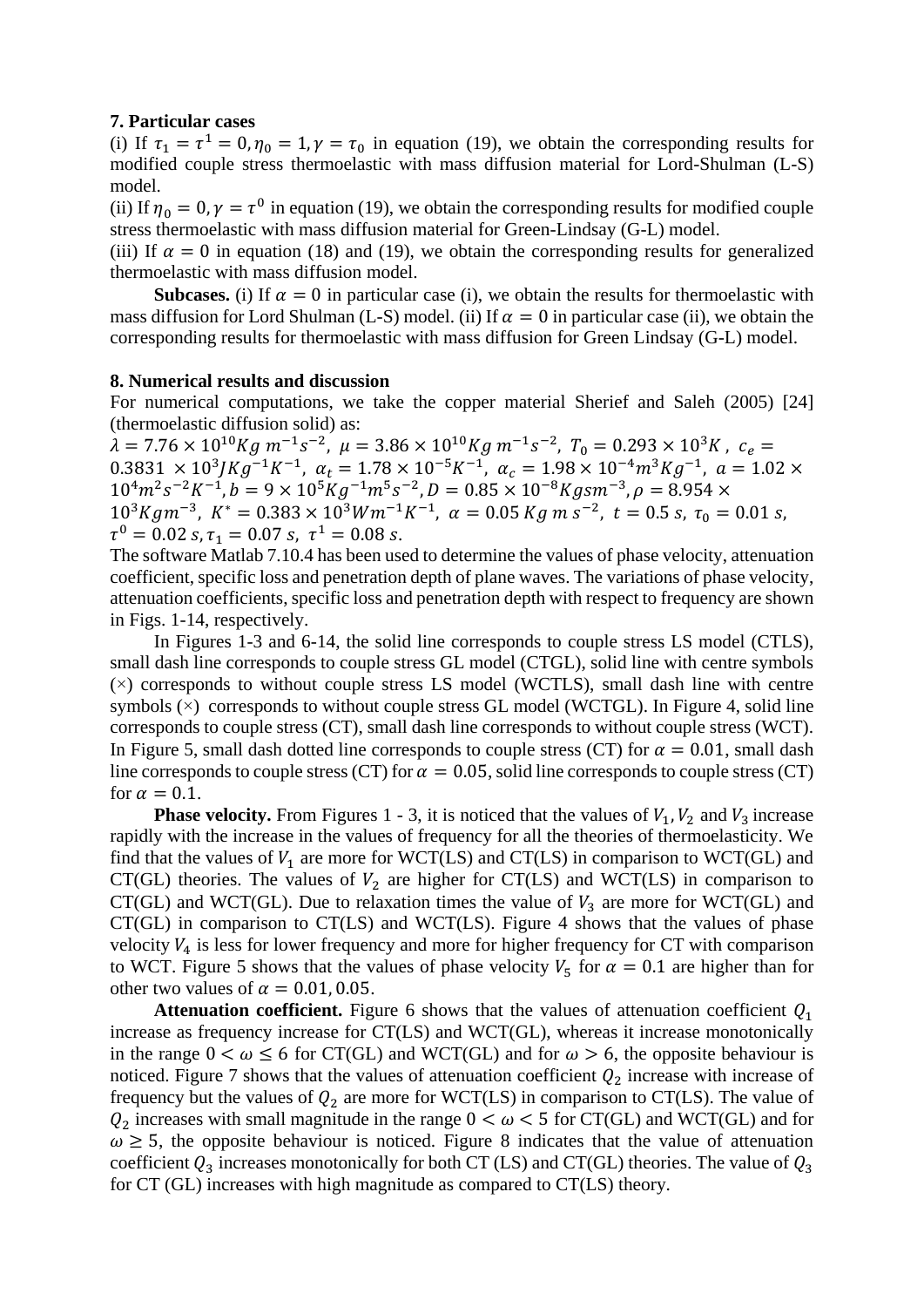## **7. Particular cases**

(i) If  $\tau_1 = \tau^1 = 0$ ,  $\eta_0 = 1$ ,  $\gamma = \tau_0$  in equation (19), we obtain the corresponding results for modified couple stress thermoelastic with mass diffusion material for Lord-Shulman (L-S) model.

(ii) If  $\eta_0 = 0$ ,  $\gamma = \tau^0$  in equation (19), we obtain the corresponding results for modified couple stress thermoelastic with mass diffusion material for Green-Lindsay (G-L) model.

(iii) If  $\alpha = 0$  in equation (18) and (19), we obtain the corresponding results for generalized thermoelastic with mass diffusion model.

**Subcases.** (i) If  $\alpha = 0$  in particular case (i), we obtain the results for thermoelastic with mass diffusion for Lord Shulman (L-S) model. (ii) If  $\alpha = 0$  in particular case (ii), we obtain the corresponding results for thermoelastic with mass diffusion for Green Lindsay (G-L) model.

## **8. Numerical results and discussion**

For numerical computations, we take the copper material Sherief and Saleh (2005) [24] (thermoelastic diffusion solid) as:

 $\lambda = 7.76 \times 10^{10} Kg m^{-1} s^{-2}$ ,  $\mu = 3.86 \times 10^{10} Kg m^{-1} s^{-2}$ ,  $T_0 = 0.293 \times 10^3 K$ ,  $c_e =$  $0.3831 \times 10^3$  JKg<sup>-1</sup>K<sup>-1</sup>,  $\alpha_t = 1.78 \times 10^{-5}$ K<sup>-1</sup>,  $\alpha_c = 1.98 \times 10^{-4}$   $m^3$  Kg<sup>-1</sup>,  $\alpha = 1.02 \times 10^{-4}$  $10^{4}m^{2}s^{-2}K^{-1}$ ,  $b = 9 \times 10^{5}Kg^{-1}m^{5}s^{-2}$ ,  $D = 0.85 \times 10^{-8}Kgsm^{-3}$ ,  $\rho = 8.954 \times$  $10^3 K g m^{-3}$ ,  $K^* = 0.383 \times 10^3 W m^{-1} K^{-1}$ ,  $\alpha = 0.05 K g m s^{-2}$ ,  $t = 0.5 s$ ,  $\tau_0 = 0.01 s$ ,  $\tau^0 = 0.02 \text{ s}, \tau_1 = 0.07 \text{ s}, \tau^1 = 0.08 \text{ s}.$ 

The software Matlab 7.10.4 has been used to determine the values of phase velocity, attenuation coefficient, specific loss and penetration depth of plane waves. The variations of phase velocity, attenuation coefficients, specific loss and penetration depth with respect to frequency are shown in Figs. 1-14, respectively.

In Figures 1-3 and 6-14, the solid line corresponds to couple stress LS model (CTLS), small dash line corresponds to couple stress GL model (CTGL), solid line with centre symbols (×) corresponds to without couple stress LS model (WCTLS), small dash line with centre symbols  $(\times)$  corresponds to without couple stress GL model (WCTGL). In Figure 4, solid line corresponds to couple stress (CT), small dash line corresponds to without couple stress (WCT). In Figure 5, small dash dotted line corresponds to couple stress (CT) for  $\alpha = 0.01$ , small dash line corresponds to couple stress (CT) for  $\alpha = 0.05$ , solid line corresponds to couple stress (CT) for  $\alpha = 0.1$ .

**Phase velocity.** From Figures 1 - 3, it is noticed that the values of  $V_1$ ,  $V_2$  and  $V_3$  increase rapidly with the increase in the values of frequency for all the theories of thermoelasticity. We find that the values of  $V_1$  are more for WCT(LS) and CT(LS) in comparison to WCT(GL) and CT(GL) theories. The values of  $V_2$  are higher for CT(LS) and WCT(LS) in comparison to CT(GL) and WCT(GL). Due to relaxation times the value of  $V_3$  are more for WCT(GL) and CT(GL) in comparison to CT(LS) and WCT(LS). Figure 4 shows that the values of phase velocity  $V_4$  is less for lower frequency and more for higher frequency for CT with comparison to WCT. Figure 5 shows that the values of phase velocity  $V_5$  for  $\alpha = 0.1$  are higher than for other two values of  $\alpha = 0.01, 0.05$ .

**Attenuation coefficient.** Figure 6 shows that the values of attenuation coefficient  $Q_1$ increase as frequency increase for CT(LS) and WCT(GL), whereas it increase monotonically in the range  $0 < \omega \le 6$  for CT(GL) and WCT(GL) and for  $\omega > 6$ , the opposite behaviour is noticed. Figure 7 shows that the values of attenuation coefficient  $Q_2$  increase with increase of frequency but the values of  $Q_2$  are more for WCT(LS) in comparison to CT(LS). The value of  $Q_2$  increases with small magnitude in the range  $0 < \omega < 5$  for CT(GL) and WCT(GL) and for  $\omega \geq 5$ , the opposite behaviour is noticed. Figure 8 indicates that the value of attenuation coefficient  $Q_3$  increases monotonically for both CT (LS) and CT(GL) theories. The value of  $Q_3$ for CT (GL) increases with high magnitude as compared to CT(LS) theory.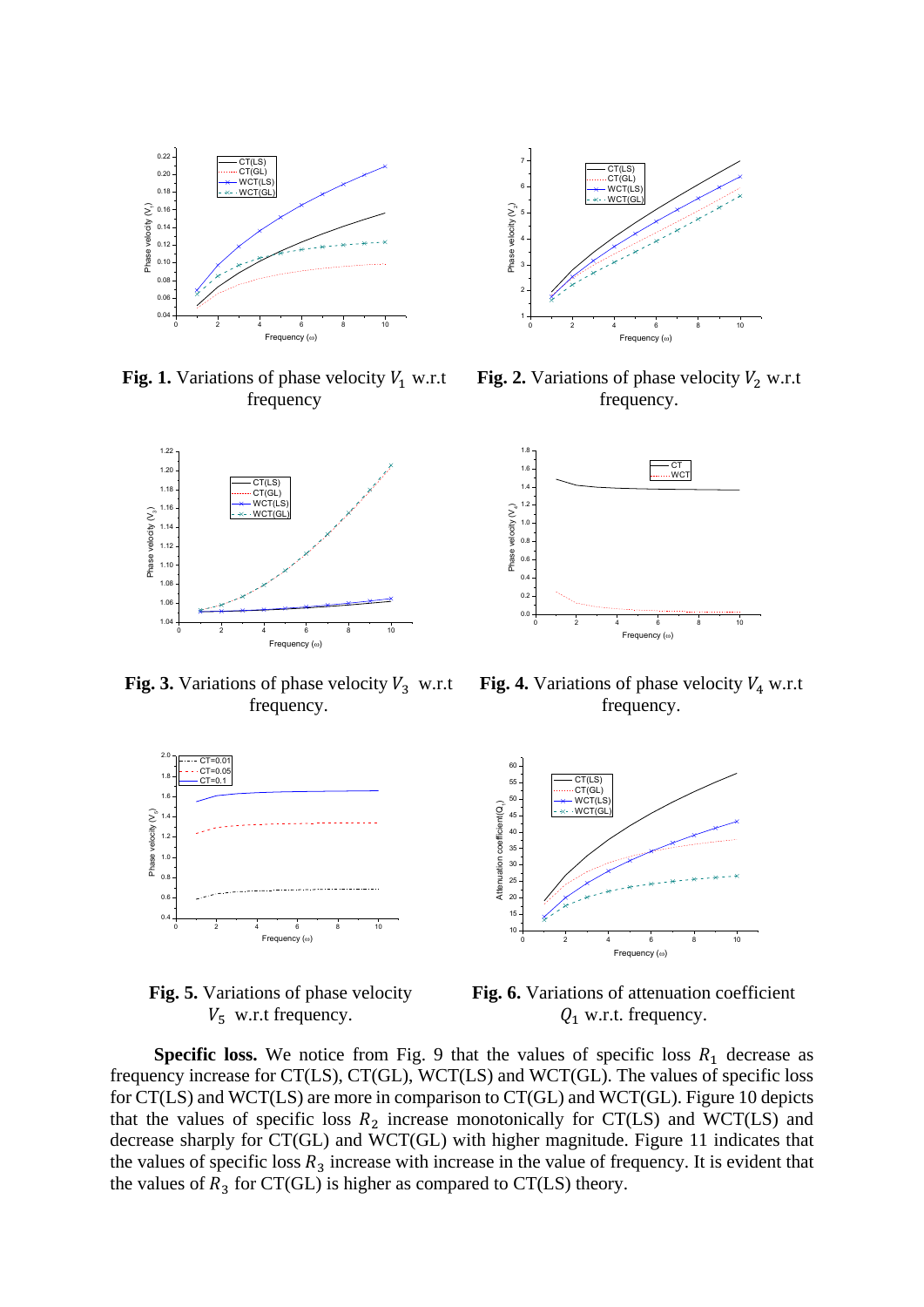

Fig. 1. Variations of phase velocity  $V_1$  w.r.t frequency



**Fig. 3.** Variations of phase velocity  $V_3$  w.r.t frequency.



**Fig. 5.** Variations of phase velocity  $V_5$  w.r.t frequency.



**Fig. 2.** Variations of phase velocity  $V_2$  w.r.t frequency.



**Fig. 4.** Variations of phase velocity  $V_4$  w.r.t frequency.



**Fig. 6.** Variations of attenuation coefficient  $Q_1$  w.r.t. frequency.

**Specific loss.** We notice from Fig. 9 that the values of specific loss  $R_1$  decrease as frequency increase for CT(LS), CT(GL), WCT(LS) and WCT(GL). The values of specific loss for CT(LS) and WCT(LS) are more in comparison to CT(GL) and WCT(GL). Figure 10 depicts that the values of specific loss  $R_2$  increase monotonically for CT(LS) and WCT(LS) and decrease sharply for CT(GL) and WCT(GL) with higher magnitude. Figure 11 indicates that the values of specific loss  $R_3$  increase with increase in the value of frequency. It is evident that the values of  $R_3$  for CT(GL) is higher as compared to CT(LS) theory.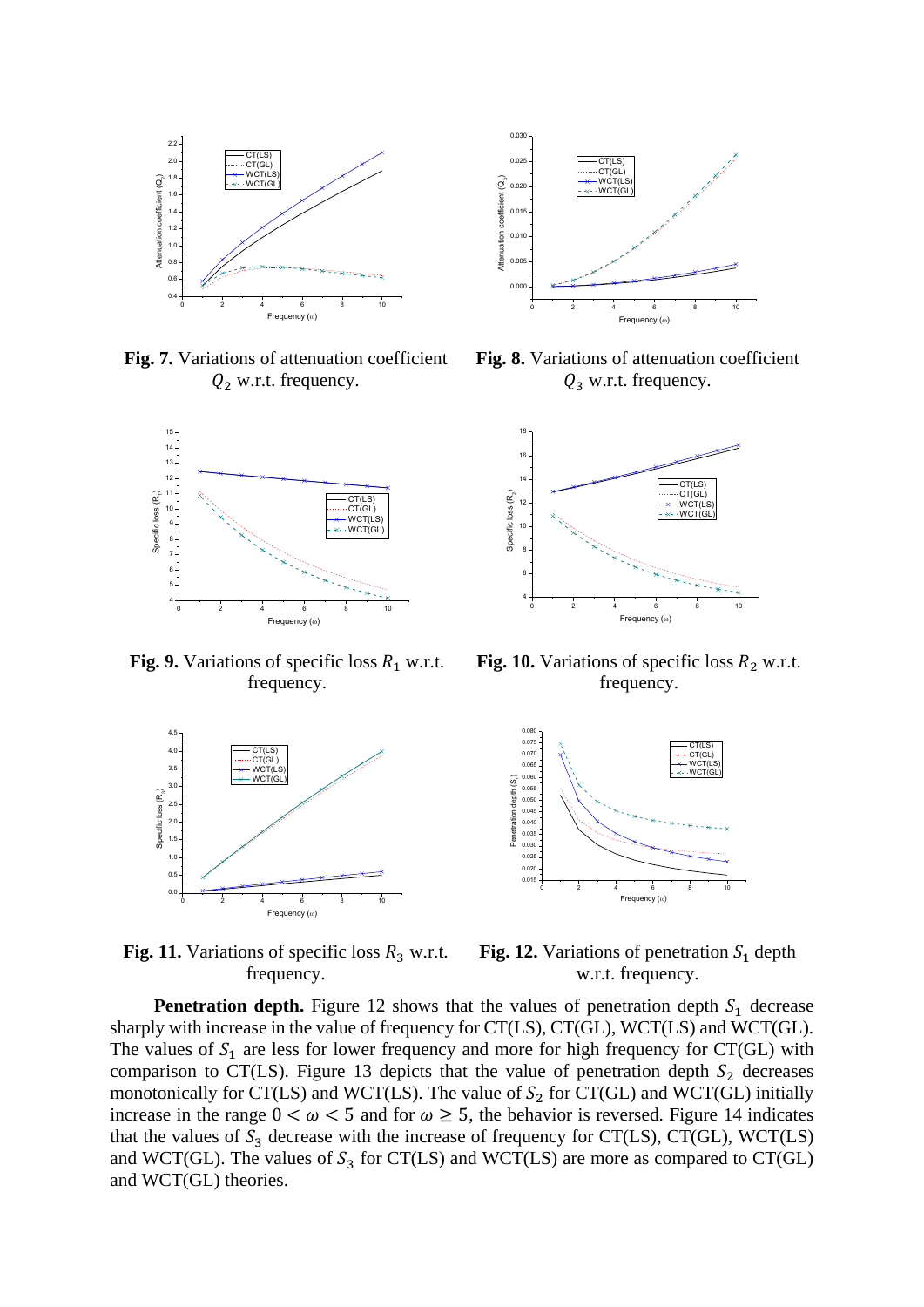

**Fig. 7.** Variations of attenuation coefficient  $Q_2$  w.r.t. frequency.



**Fig. 9.** Variations of specific loss  $R_1$  w.r.t. frequency.



Fig. 11. Variations of specific loss  $R_3$  w.r.t. frequency.



**Fig. 8.** Variations of attenuation coefficient  $Q_3$  w.r.t. frequency.



**Fig. 10.** Variations of specific loss  $R_2$  w.r.t. frequency.



**Fig. 12.** Variations of penetration  $S_1$  depth w.r.t. frequency.

**Penetration depth.** Figure 12 shows that the values of penetration depth  $S_1$  decrease sharply with increase in the value of frequency for CT(LS), CT(GL), WCT(LS) and WCT(GL). The values of  $S_1$  are less for lower frequency and more for high frequency for CT(GL) with comparison to CT(LS). Figure 13 depicts that the value of penetration depth  $S_2$  decreases monotonically for CT(LS) and WCT(LS). The value of  $S_2$  for CT(GL) and WCT(GL) initially increase in the range  $0 < \omega < 5$  and for  $\omega \ge 5$ , the behavior is reversed. Figure 14 indicates that the values of  $S_3$  decrease with the increase of frequency for CT(LS), CT(GL), WCT(LS) and WCT(GL). The values of  $S_3$  for CT(LS) and WCT(LS) are more as compared to CT(GL) and WCT(GL) theories.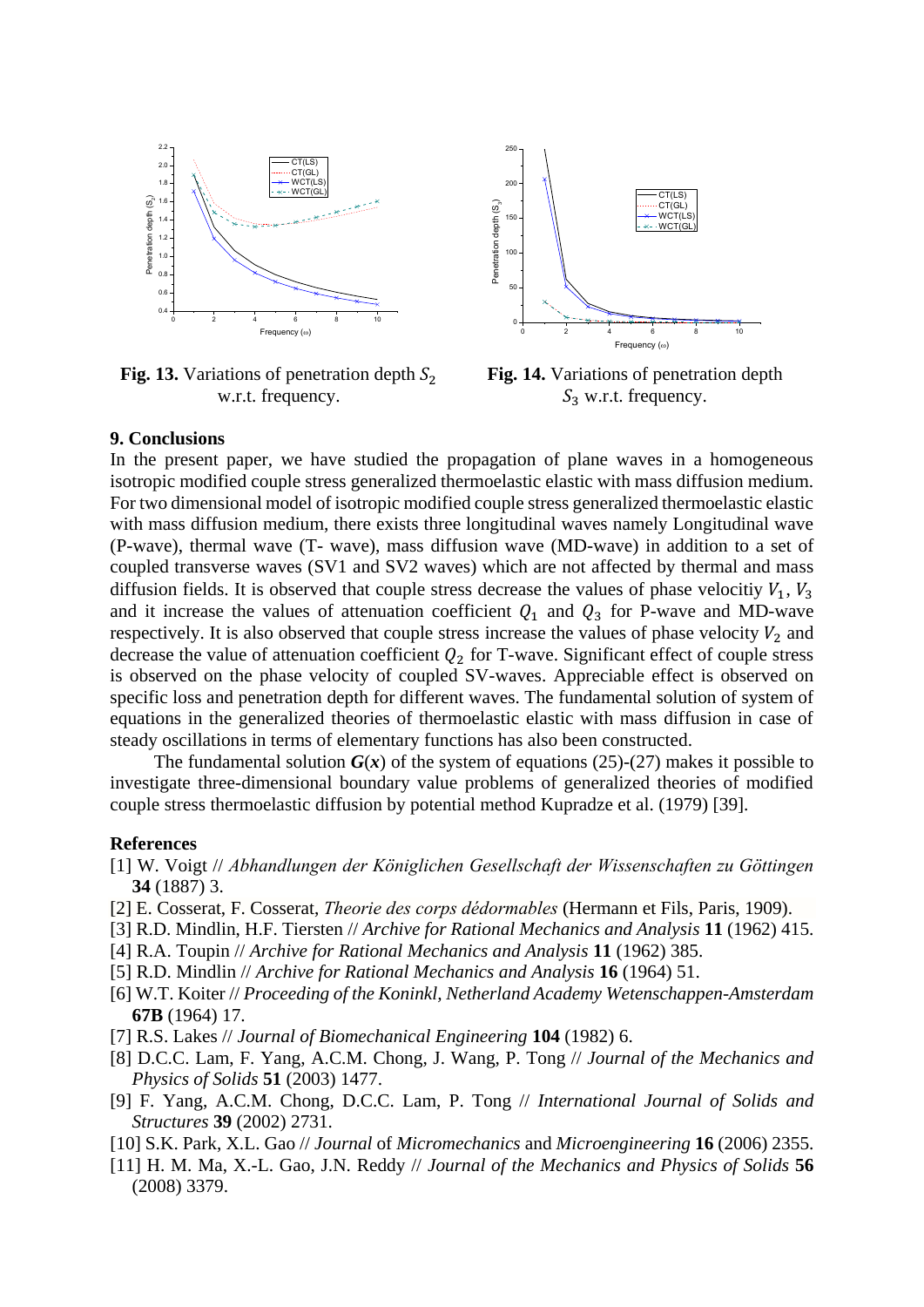

**Fig. 13.** Variations of penetration depth  $S_2$ w.r.t. frequency.



**Fig. 14.** Variations of penetration depth  $S_3$  w.r.t. frequency.

## **9. Conclusions**

In the present paper, we have studied the propagation of plane waves in a homogeneous isotropic modified couple stress generalized thermoelastic elastic with mass diffusion medium. For two dimensional model of isotropic modified couple stress generalized thermoelastic elastic with mass diffusion medium, there exists three longitudinal waves namely Longitudinal wave (P-wave), thermal wave (T- wave), mass diffusion wave (MD-wave) in addition to a set of coupled transverse waves (SV1 and SV2 waves) which are not affected by thermal and mass diffusion fields. It is observed that couple stress decrease the values of phase velocitiy  $V_1$ ,  $V_3$ and it increase the values of attenuation coefficient  $Q_1$  and  $Q_3$  for P-wave and MD-wave respectively. It is also observed that couple stress increase the values of phase velocity  $V_2$  and decrease the value of attenuation coefficient  $Q_2$  for T-wave. Significant effect of couple stress is observed on the phase velocity of coupled SV-waves. Appreciable effect is observed on specific loss and penetration depth for different waves. The fundamental solution of system of equations in the generalized theories of thermoelastic elastic with mass diffusion in case of steady oscillations in terms of elementary functions has also been constructed.

The fundamental solution  $G(x)$  of the system of equations (25)-(27) makes it possible to investigate three-dimensional boundary value problems of generalized theories of modified couple stress thermoelastic diffusion by potential method Kupradze et al. (1979) [39].

#### **References**

- [1] W. Voigt // *Abhandlungen der Königlichen Gesellschaft der Wissenschaften zu Göttingen* **34** (1887) 3.
- [2] E. Cosserat, F. Cosserat, *Theorie des corps dédormables* (Hermann et Fils, Paris, 1909).
- [3] R.D. Mindlin, H.F. Tiersten // *Archive for Rational Mechanics and Analysis* **11** (1962) 415.
- [4] R.A. Toupin // *Archive for Rational Mechanics and Analysis* **11** (1962) 385.
- [5] R.D. Mindlin // *Archive for Rational Mechanics and Analysis* **16** (1964) 51.
- [6] W.T. Koiter // *Proceeding of the Koninkl, Netherland Academy Wetenschappen-Amsterdam* **67B** (1964) 17.
- [7] R.S. Lakes // *Journal of Biomechanical Engineering* **104** (1982) 6.
- [8] D.C.C. Lam, F. Yang, A.C.M. Chong, J. Wang, P. Tong // *[Journal of the Mechanics and](http://www.google.co.in/url?sa=t&rct=j&q=&esrc=s&source=web&cd=1&cad=rja&uact=8&ved=0CB0QFjAA&url=http%3A%2F%2Fwww.sciencedirect.com%2Fscience%2Fjournal%2F00225096&ei=EGshVfmZBNXluQSUv4GAAw&usg=AFQjCNGo1SsW0q45ncERT2FY2ibT_ytbzA&bvm=bv.89947451,d.c2E)  [Physics of Solids](http://www.google.co.in/url?sa=t&rct=j&q=&esrc=s&source=web&cd=1&cad=rja&uact=8&ved=0CB0QFjAA&url=http%3A%2F%2Fwww.sciencedirect.com%2Fscience%2Fjournal%2F00225096&ei=EGshVfmZBNXluQSUv4GAAw&usg=AFQjCNGo1SsW0q45ncERT2FY2ibT_ytbzA&bvm=bv.89947451,d.c2E)* **51** (2003) 1477.
- [9] F. Yang, A.C.M. Chong, D.C.C. Lam, P. Tong // *International Journal of Solids and Structures* **39** (2002) 2731.
- [10] S.K. Park, X.L. Gao // *Journal* of *Micromechanics* and *Microengineering* **16** (2006) 2355.
- [11] H. M. Ma, X.-L. Gao, J.N. Reddy // *Journal of the Mechanics and Physics of Solids* **56** (2008) 3379.